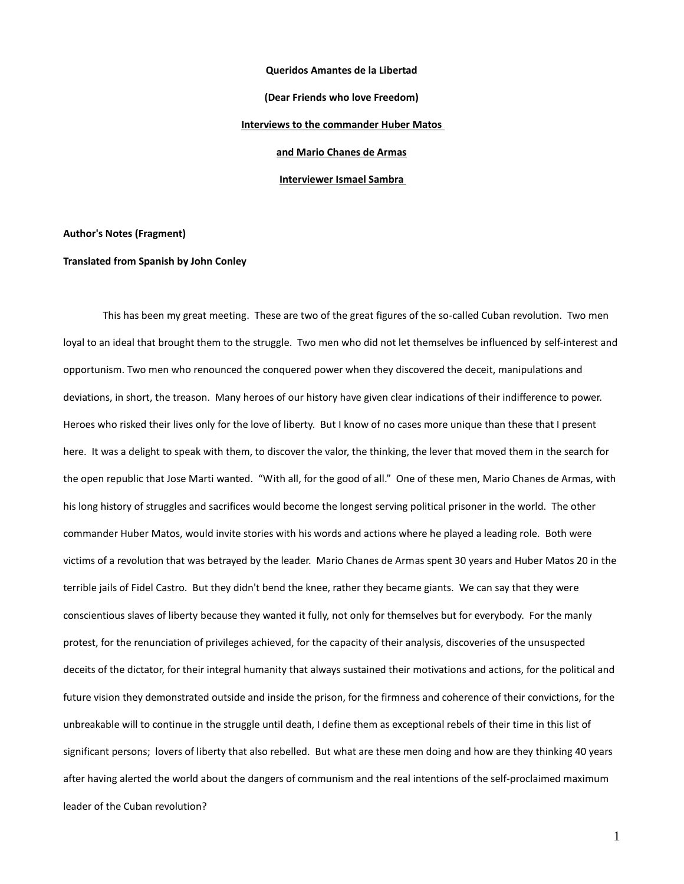#### **Queridos Amantes de la Libertad**

**(Dear Friends who love Freedom)**

### **Interviews to the commander Huber Matos**

**and Mario Chanes de Armas**

**Interviewer Ismael Sambra** 

**Author's Notes (Fragment)**

### **Translated from Spanish by John Conley**

This has been my great meeting. These are two of the great figures of the so-called Cuban revolution. Two men loyal to an ideal that brought them to the struggle. Two men who did not let themselves be influenced by self-interest and opportunism. Two men who renounced the conquered power when they discovered the deceit, manipulations and deviations, in short, the treason. Many heroes of our history have given clear indications of their indifference to power. Heroes who risked their lives only for the love of liberty. But I know of no cases more unique than these that I present here. It was a delight to speak with them, to discover the valor, the thinking, the lever that moved them in the search for the open republic that Jose Marti wanted. "With all, for the good of all." One of these men, Mario Chanes de Armas, with his long history of struggles and sacrifices would become the longest serving political prisoner in the world. The other commander Huber Matos, would invite stories with his words and actions where he played a leading role. Both were victims of a revolution that was betrayed by the leader. Mario Chanes de Armas spent 30 years and Huber Matos 20 in the terrible jails of Fidel Castro. But they didn't bend the knee, rather they became giants. We can say that they were conscientious slaves of liberty because they wanted it fully, not only for themselves but for everybody. For the manly protest, for the renunciation of privileges achieved, for the capacity of their analysis, discoveries of the unsuspected deceits of the dictator, for their integral humanity that always sustained their motivations and actions, for the political and future vision they demonstrated outside and inside the prison, for the firmness and coherence of their convictions, for the unbreakable will to continue in the struggle until death, I define them as exceptional rebels of their time in this list of significant persons; lovers of liberty that also rebelled. But what are these men doing and how are they thinking 40 years after having alerted the world about the dangers of communism and the real intentions of the self-proclaimed maximum leader of the Cuban revolution?

1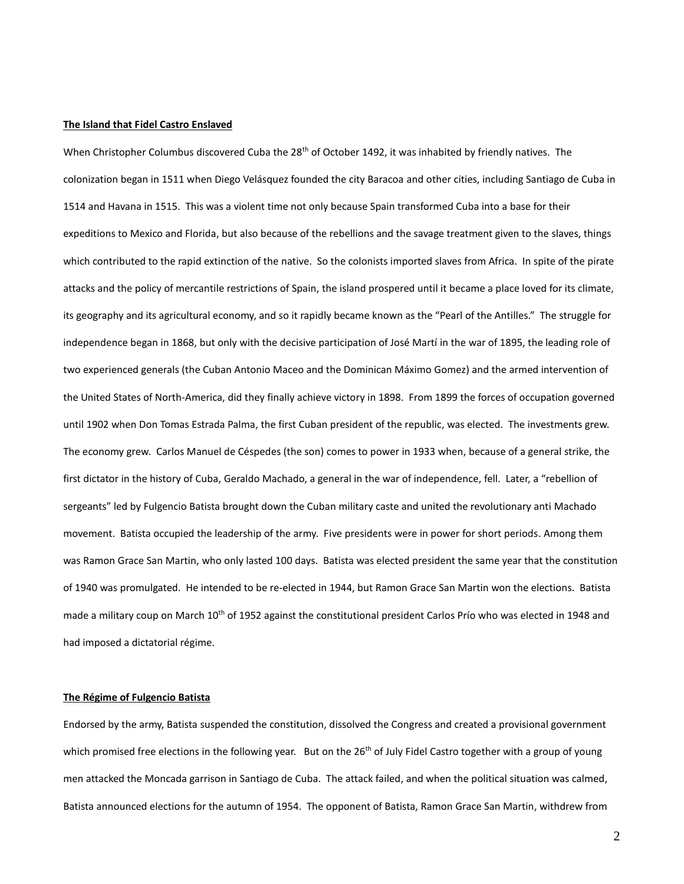# **The Island that Fidel Castro Enslaved**

When Christopher Columbus discovered Cuba the  $28<sup>th</sup>$  of October 1492, it was inhabited by friendly natives. The colonization began in 1511 when Diego Velásquez founded the city Baracoa and other cities, including Santiago de Cuba in 1514 and Havana in 1515. This was a violent time not only because Spain transformed Cuba into a base for their expeditions to Mexico and Florida, but also because of the rebellions and the savage treatment given to the slaves, things which contributed to the rapid extinction of the native. So the colonists imported slaves from Africa. In spite of the pirate attacks and the policy of mercantile restrictions of Spain, the island prospered until it became a place loved for its climate, its geography and its agricultural economy, and so it rapidly became known as the "Pearl of the Antilles." The struggle for independence began in 1868, but only with the decisive participation of José Martí in the war of 1895, the leading role of two experienced generals (the Cuban Antonio Maceo and the Dominican Máximo Gomez) and the armed intervention of the United States of North-America, did they finally achieve victory in 1898. From 1899 the forces of occupation governed until 1902 when Don Tomas Estrada Palma, the first Cuban president of the republic, was elected. The investments grew. The economy grew. Carlos Manuel de Céspedes (the son) comes to power in 1933 when, because of a general strike, the first dictator in the history of Cuba, Geraldo Machado, a general in the war of independence, fell. Later, a "rebellion of sergeants" led by Fulgencio Batista brought down the Cuban military caste and united the revolutionary anti Machado movement. Batista occupied the leadership of the army. Five presidents were in power for short periods. Among them was Ramon Grace San Martin, who only lasted 100 days. Batista was elected president the same year that the constitution of 1940 was promulgated. He intended to be re-elected in 1944, but Ramon Grace San Martin won the elections. Batista made a military coup on March 10<sup>th</sup> of 1952 against the constitutional president Carlos Prío who was elected in 1948 and had imposed a dictatorial régime.

# **The Régime of Fulgencio Batista**

Endorsed by the army, Batista suspended the constitution, dissolved the Congress and created a provisional government which promised free elections in the following year. But on the 26<sup>th</sup> of July Fidel Castro together with a group of young men attacked the Moncada garrison in Santiago de Cuba. The attack failed, and when the political situation was calmed, Batista announced elections for the autumn of 1954. The opponent of Batista, Ramon Grace San Martin, withdrew from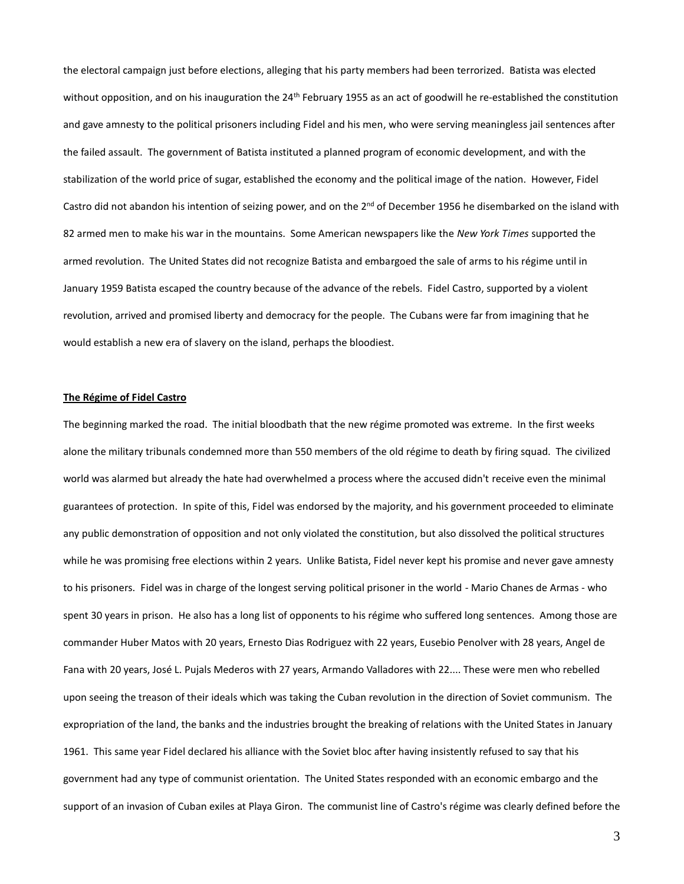the electoral campaign just before elections, alleging that his party members had been terrorized. Batista was elected without opposition, and on his inauguration the  $24<sup>th</sup>$  February 1955 as an act of goodwill he re-established the constitution and gave amnesty to the political prisoners including Fidel and his men, who were serving meaningless jail sentences after the failed assault. The government of Batista instituted a planned program of economic development, and with the stabilization of the world price of sugar, established the economy and the political image of the nation. However, Fidel Castro did not abandon his intention of seizing power, and on the 2<sup>nd</sup> of December 1956 he disembarked on the island with 82 armed men to make his war in the mountains. Some American newspapers like the *New York Times* supported the armed revolution. The United States did not recognize Batista and embargoed the sale of arms to his régime until in January 1959 Batista escaped the country because of the advance of the rebels. Fidel Castro, supported by a violent revolution, arrived and promised liberty and democracy for the people. The Cubans were far from imagining that he would establish a new era of slavery on the island, perhaps the bloodiest.

### **The Régime of Fidel Castro**

The beginning marked the road. The initial bloodbath that the new régime promoted was extreme. In the first weeks alone the military tribunals condemned more than 550 members of the old régime to death by firing squad. The civilized world was alarmed but already the hate had overwhelmed a process where the accused didn't receive even the minimal guarantees of protection. In spite of this, Fidel was endorsed by the majority, and his government proceeded to eliminate any public demonstration of opposition and not only violated the constitution, but also dissolved the political structures while he was promising free elections within 2 years. Unlike Batista, Fidel never kept his promise and never gave amnesty to his prisoners. Fidel was in charge of the longest serving political prisoner in the world - Mario Chanes de Armas - who spent 30 years in prison. He also has a long list of opponents to his régime who suffered long sentences. Among those are commander Huber Matos with 20 years, Ernesto Dias Rodriguez with 22 years, Eusebio Penolver with 28 years, Angel de Fana with 20 years, José L. Pujals Mederos with 27 years, Armando Valladores with 22.... These were men who rebelled upon seeing the treason of their ideals which was taking the Cuban revolution in the direction of Soviet communism. The expropriation of the land, the banks and the industries brought the breaking of relations with the United States in January 1961. This same year Fidel declared his alliance with the Soviet bloc after having insistently refused to say that his government had any type of communist orientation. The United States responded with an economic embargo and the support of an invasion of Cuban exiles at Playa Giron. The communist line of Castro's régime was clearly defined before the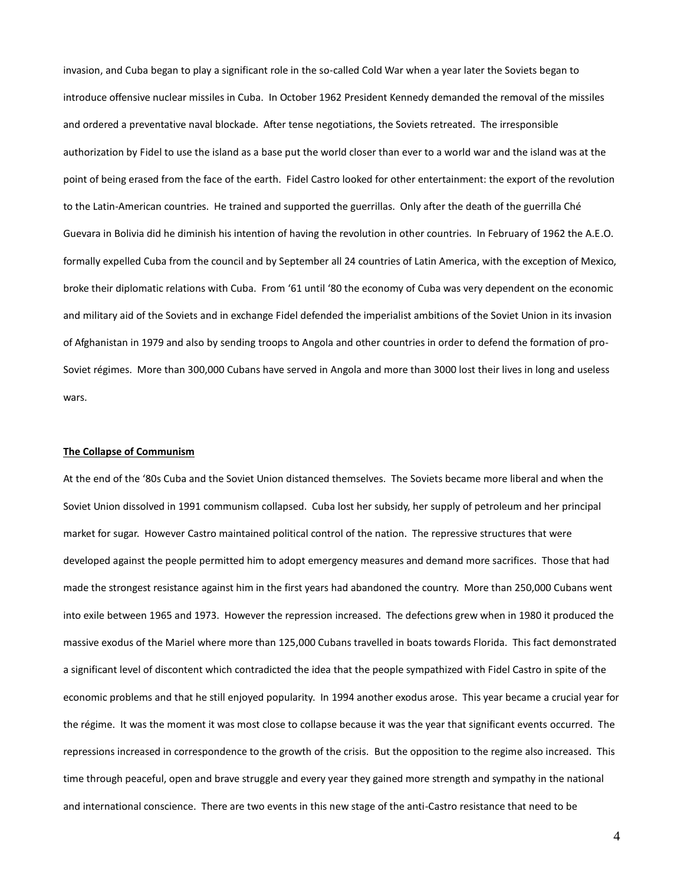invasion, and Cuba began to play a significant role in the so-called Cold War when a year later the Soviets began to introduce offensive nuclear missiles in Cuba. In October 1962 President Kennedy demanded the removal of the missiles and ordered a preventative naval blockade. After tense negotiations, the Soviets retreated. The irresponsible authorization by Fidel to use the island as a base put the world closer than ever to a world war and the island was at the point of being erased from the face of the earth. Fidel Castro looked for other entertainment: the export of the revolution to the Latin-American countries. He trained and supported the guerrillas. Only after the death of the guerrilla Ché Guevara in Bolivia did he diminish his intention of having the revolution in other countries. In February of 1962 the A.E.O. formally expelled Cuba from the council and by September all 24 countries of Latin America, with the exception of Mexico, broke their diplomatic relations with Cuba. From '61 until '80 the economy of Cuba was very dependent on the economic and military aid of the Soviets and in exchange Fidel defended the imperialist ambitions of the Soviet Union in its invasion of Afghanistan in 1979 and also by sending troops to Angola and other countries in order to defend the formation of pro-Soviet régimes. More than 300,000 Cubans have served in Angola and more than 3000 lost their lives in long and useless wars.

### **The Collapse of Communism**

At the end of the '80s Cuba and the Soviet Union distanced themselves. The Soviets became more liberal and when the Soviet Union dissolved in 1991 communism collapsed. Cuba lost her subsidy, her supply of petroleum and her principal market for sugar. However Castro maintained political control of the nation. The repressive structures that were developed against the people permitted him to adopt emergency measures and demand more sacrifices. Those that had made the strongest resistance against him in the first years had abandoned the country. More than 250,000 Cubans went into exile between 1965 and 1973. However the repression increased. The defections grew when in 1980 it produced the massive exodus of the Mariel where more than 125,000 Cubans travelled in boats towards Florida. This fact demonstrated a significant level of discontent which contradicted the idea that the people sympathized with Fidel Castro in spite of the economic problems and that he still enjoyed popularity. In 1994 another exodus arose. This year became a crucial year for the régime. It was the moment it was most close to collapse because it was the year that significant events occurred. The repressions increased in correspondence to the growth of the crisis. But the opposition to the regime also increased. This time through peaceful, open and brave struggle and every year they gained more strength and sympathy in the national and international conscience. There are two events in this new stage of the anti-Castro resistance that need to be

4